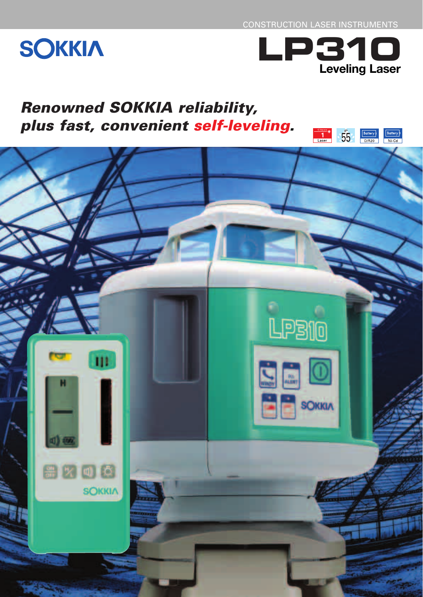CONSTRUCTION LASER INSTRUMENTS

# **SOKKIA**



## *Renowned SOKKIA reliability, plus fast, convenient self-leveling.*

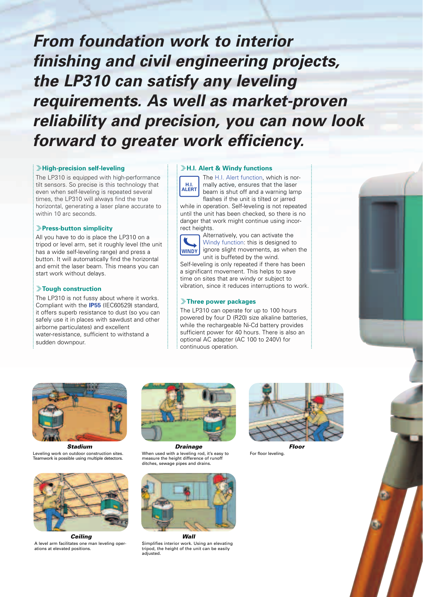*From foundation work to interior finishing and civil engineering projects, the LP310 can satisfy any leveling requirements. As well as market-proven reliability and precision, you can now look forward to greater work efficiency.*

#### *<del>Eligh-precision self-leveling*</del>

The LP310 is equipped with high-performance tilt sensors. So precise is this technology that even when self-leveling is repeated several times, the LP310 will always find the true horizontal, generating a laser plane accurate to within 10 arc seconds.

#### q**Press-button simplicity**

All you have to do is place the LP310 on a tripod or level arm, set it roughly level (the unit has a wide self-leveling range) and press a button. It will automatically find the horizontal and emit the laser beam. This means you can start work without delays.

#### q**Tough construction**

The LP310 is not fussy about where it works. Compliant with the **IP55** (IEC60529) standard, it offers superb resistance to dust (so you can safely use it in places with sawdust and other airborne particulates) and excellent water-resistance, sufficient to withstand a sudden downpour.

#### *<del>J</del>H.I. Alert & Windy functions*

The H.I. Alert function, which is normally active, ensures that the laser beam is shut off and a warning lamp flashes if the unit is tilted or jarred while in operation. Self-leveling is not repeated until the unit has been checked, so there is no danger that work might continue using incorrect heights. **H.I. ALERT**

Alternatively, you can activate the Windy function: this is designed to ignore slight movements, as when the unit is buffeted by the wind. **WINDY**

Self-leveling is only repeated if there has been a significant movement. This helps to save time on sites that are windy or subject to vibration, since it reduces interruptions to work.

#### *FInree power packages*

The LP310 can operate for up to 100 hours powered by four D (R20) size alkaline batteries, while the rechargeable Ni-Cd battery provides sufficient power for 40 hours. There is also an optional AC adapter (AC 100 to 240V) for continuous operation.





*Stadium* Leveling work on outdoor construction sites. Teamwork is possible using multiple detectors.



*Ceiling* A level arm facilitates one man leveling operations at elevated positions.



When used with a leveling rod, it's easy to measure the height difference of runoff ditches, sewage pipes and drains



Simplifies interior work. Using an elevating tripod, the height of the unit can be easily adjusted.



For floor leveling.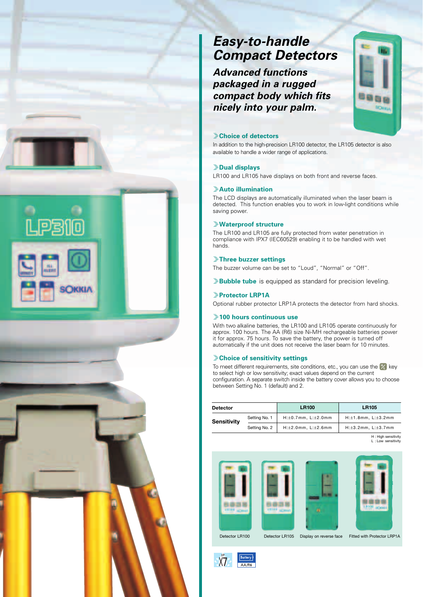### *Easy-to-handle Compact Detectors*

*Advanced functions packaged in a rugged compact body which fits nicely into your palm.*



#### **Example 2**

In addition to the high-precision LR100 detector, the LR105 detector is also available to handle a wider range of applications.

#### q**Dual displays**

LR100 and LR105 have displays on both front and reverse faces.

#### q**Auto illumination**

The LCD displays are automatically illuminated when the laser beam is detected. This function enables you to work in low-light conditions while saving power.

#### q**Waterproof structure**

The LR100 and LR105 are fully protected from water penetration in compliance with IPX7 (IEC60529) enabling it to be handled with wet hands.

#### q**Three buzzer settings**

The buzzer volume can be set to "Loud", "Normal" or "Off".

**Bubble tube** is equipped as standard for precision leveling.

#### q**Protector LRP1A**

Optional rubber protector LRP1A protects the detector from hard shocks.

#### $\frac{1}{2}$ **100 hours continuous use**

With two alkaline batteries, the LR100 and LR105 operate continuously for approx. 100 hours. The AA (R6) size Ni-MH rechargeable batteries power it for approx. 75 hours. To save the battery, the power is turned off automatically if the unit does not receive the laser beam for 10 minutes.

#### *Choice of sensitivity settings*

To meet different requirements, site conditions, etc., you can use the  $\mathbb{Y}_1$  key to select high or low sensitivity; exact values depend on the current configuration. A separate switch inside the battery cover allows you to choose between Setting No. 1 (default) and 2.

| <b>Detector</b>    |               | <b>LR100</b>                   | <b>LR105</b>                   |
|--------------------|---------------|--------------------------------|--------------------------------|
| <b>Sensitivity</b> | Setting No. 1 | $H:\pm 0.7$ mm, $L:\pm 2.0$ mm | $H:\pm 1.8$ mm, $L:\pm 3.2$ mm |
|                    | Setting No. 2 | $H:\pm 2.0$ mm, $L:\pm 2.6$ mm | $H:\pm 3.2$ mm, $L:\pm 3.7$ mm |

H : High sensitivity L : Low sensitivity